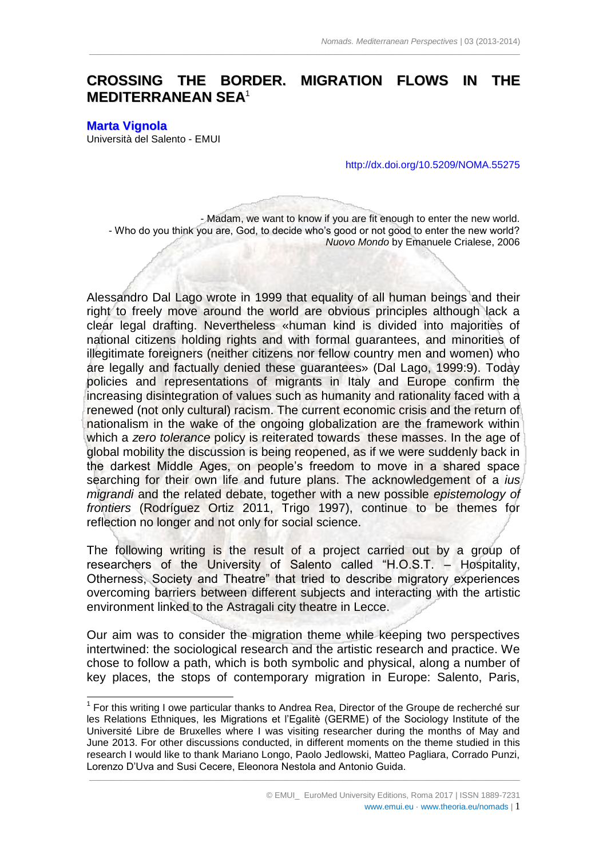# **CROSSING THE BORDER. MIGRATION FLOWS IN THE MEDITERRANEAN SEA** 1

 $\_$  ,  $\_$  ,  $\_$  ,  $\_$  ,  $\_$  ,  $\_$  ,  $\_$  ,  $\_$  ,  $\_$  ,  $\_$  ,  $\_$  ,  $\_$  ,  $\_$  ,  $\_$  ,  $\_$  ,  $\_$  ,  $\_$  ,  $\_$  ,  $\_$  ,  $\_$  ,  $\_$  ,  $\_$  ,  $\_$  ,  $\_$  ,  $\_$  ,  $\_$  ,  $\_$  ,  $\_$  ,  $\_$  ,  $\_$  ,  $\_$  ,  $\_$  ,  $\_$  ,  $\_$  ,  $\_$  ,  $\_$  ,  $\_$  ,

#### **Marta [Vignola](mailto:marta.vignola@emui.eu)**

 $\overline{a}$ 

Università del Salento - EMUI

#### <http://dx.doi.org/10.5209/NOMA.55275>

- Madam, we want to know if you are fit enough to enter the new world. - Who do you think you are, God, to decide who's good or not good to enter the new world? *Nuovo Mondo* by Emanuele Crialese, 2006

Alessandro Dal Lago wrote in 1999 that equality of all human beings and their right to freely move around the world are obvious principles although lack a clear legal drafting. Nevertheless «human kind is divided into majorities of national citizens holding rights and with formal guarantees, and minorities of illegitimate foreigners (neither citizens nor fellow country men and women) who are legally and factually denied these guarantees» (Dal Lago, 1999:9). Today policies and representations of migrants in Italy and Europe confirm the increasing disintegration of values such as humanity and rationality faced with a renewed (not only cultural) racism. The current economic crisis and the return of nationalism in the wake of the ongoing globalization are the framework within which a *zero tolerance* policy is reiterated towards these masses. In the age of global mobility the discussion is being reopened, as if we were suddenly back in the darkest Middle Ages, on people's freedom to move in a shared space searching for their own life and future plans. The acknowledgement of a *ius migrandi* and the related debate, together with a new possible *epistemology of frontiers* (Rodríguez Ortiz 2011, Trigo 1997), continue to be themes for reflection no longer and not only for social science.

The following writing is the result of a project carried out by a group of researchers of the University of Salento called "H.O.S.T. – Hospitality, Otherness, Society and Theatre" that tried to describe migratory experiences overcoming barriers between different subjects and interacting with the artistic environment linked to the Astragali city theatre in Lecce.

Our aim was to consider the migration theme while keeping two perspectives intertwined: the sociological research and the artistic research and practice. We chose to follow a path, which is both symbolic and physical, along a number of key places, the stops of contemporary migration in Europe: Salento, Paris,

 $\_$  , and the state of the state of the state of the state of the state of the state of the state of the state of the state of the state of the state of the state of the state of the state of the state of the state of the  $1$  For this writing I owe particular thanks to Andrea Rea, Director of the Groupe de recherché sur les Relations Ethniques, les Migrations et l'Egalitè (GERME) of the Sociology Institute of the Université Libre de Bruxelles where I was visiting researcher during the months of May and June 2013. For other discussions conducted, in different moments on the theme studied in this research I would like to thank Mariano Longo, Paolo Jedlowski, Matteo Pagliara, Corrado Punzi, Lorenzo D'Uva and Susi Cecere, Eleonora Nestola and Antonio Guida.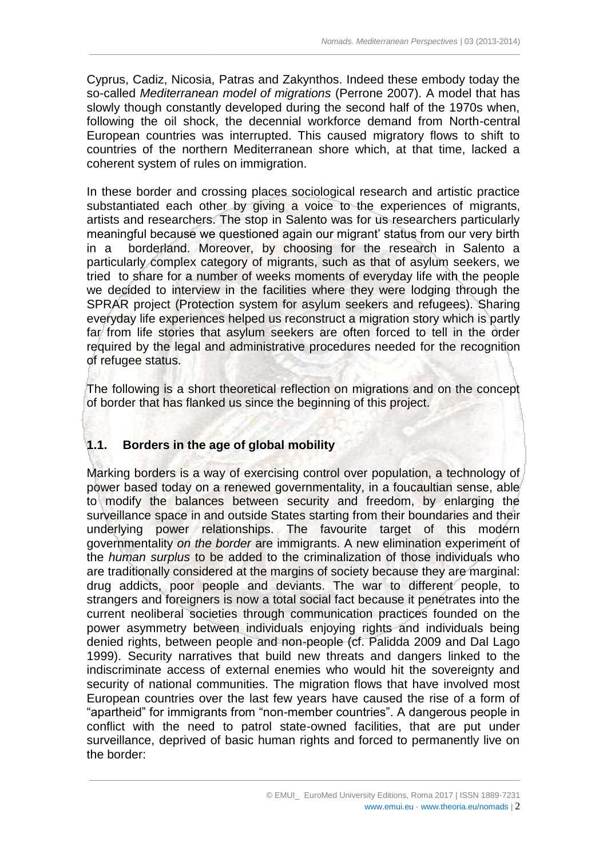Cyprus, Cadiz, Nicosia, Patras and Zakynthos. Indeed these embody today the so-called *Mediterranean model of migrations* (Perrone 2007). A model that has slowly though constantly developed during the second half of the 1970s when, following the oil shock, the decennial workforce demand from North-central European countries was interrupted. This caused migratory flows to shift to countries of the northern Mediterranean shore which, at that time, lacked a coherent system of rules on immigration.

 $\_$  ,  $\_$  ,  $\_$  ,  $\_$  ,  $\_$  ,  $\_$  ,  $\_$  ,  $\_$  ,  $\_$  ,  $\_$  ,  $\_$  ,  $\_$  ,  $\_$  ,  $\_$  ,  $\_$  ,  $\_$  ,  $\_$  ,  $\_$  ,  $\_$  ,  $\_$  ,  $\_$  ,  $\_$  ,  $\_$  ,  $\_$  ,  $\_$  ,  $\_$  ,  $\_$  ,  $\_$  ,  $\_$  ,  $\_$  ,  $\_$  ,  $\_$  ,  $\_$  ,  $\_$  ,  $\_$  ,  $\_$  ,  $\_$  ,

In these border and crossing places sociological research and artistic practice substantiated each other by giving a voice to the experiences of migrants, artists and researchers. The stop in Salento was for us researchers particularly meaningful because we questioned again our migrant' status from our very birth in a borderland. Moreover, by choosing for the research in Salento a particularly complex category of migrants, such as that of asylum seekers, we tried to share for a number of weeks moments of everyday life with the people we decided to interview in the facilities where they were lodging through the SPRAR project (Protection system for asylum seekers and refugees). Sharing everyday life experiences helped us reconstruct a migration story which is partly far from life stories that asylum seekers are often forced to tell in the order required by the legal and administrative procedures needed for the recognition of refugee status.

The following is a short theoretical reflection on migrations and on the concept of border that has flanked us since the beginning of this project.

## **1.1. Borders in the age of global mobility**

Marking borders is a way of exercising control over population, a technology of power based today on a renewed governmentality, in a foucaultian sense, able to modify the balances between security and freedom, by enlarging the surveillance space in and outside States starting from their boundaries and their underlying power relationships. The favourite target of this modern governmentality *on the border* are immigrants. A new elimination experiment of the *human surplus* to be added to the criminalization of those individuals who are traditionally considered at the margins of society because they are marginal: drug addicts, poor people and deviants. The war to different people, to strangers and foreigners is now a total social fact because it penetrates into the current neoliberal societies through communication practices founded on the power asymmetry between individuals enjoying rights and individuals being denied rights, between people and non-people (cf. Palidda 2009 and Dal Lago 1999). Security narratives that build new threats and dangers linked to the indiscriminate access of external enemies who would hit the sovereignty and security of national communities. The migration flows that have involved most European countries over the last few years have caused the rise of a form of "apartheid" for immigrants from "non-member countries". A dangerous people in conflict with the need to patrol state-owned facilities, that are put under surveillance, deprived of basic human rights and forced to permanently live on the border: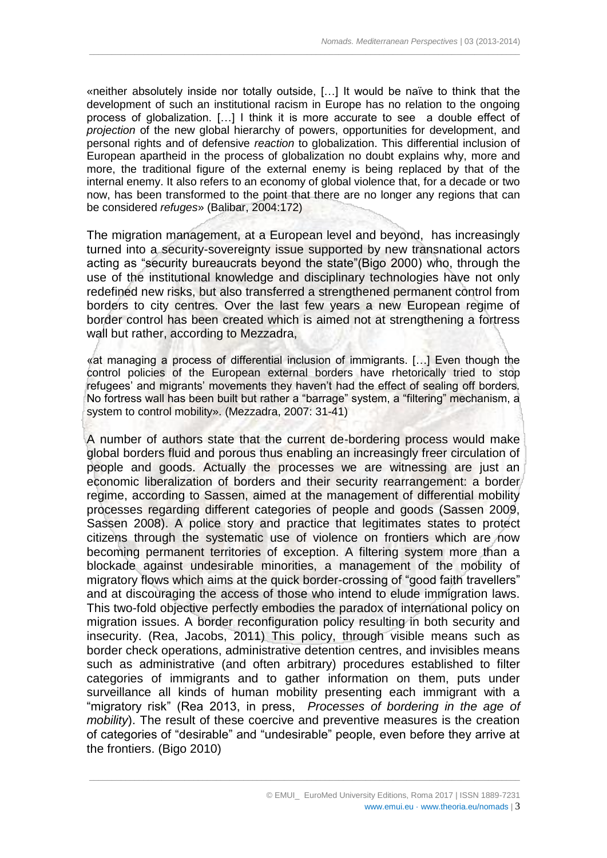«neither absolutely inside nor totally outside, […] It would be naïve to think that the development of such an institutional racism in Europe has no relation to the ongoing process of globalization. […] I think it is more accurate to see a double effect of *projection* of the new global hierarchy of powers, opportunities for development, and personal rights and of defensive *reaction* to globalization. This differential inclusion of European apartheid in the process of globalization no doubt explains why, more and more, the traditional figure of the external enemy is being replaced by that of the internal enemy. It also refers to an economy of global violence that, for a decade or two now, has been transformed to the point that there are no longer any regions that can be considered *refuges*» (Balibar, 2004:172)

 $\_$  ,  $\_$  ,  $\_$  ,  $\_$  ,  $\_$  ,  $\_$  ,  $\_$  ,  $\_$  ,  $\_$  ,  $\_$  ,  $\_$  ,  $\_$  ,  $\_$  ,  $\_$  ,  $\_$  ,  $\_$  ,  $\_$  ,  $\_$  ,  $\_$  ,  $\_$  ,  $\_$  ,  $\_$  ,  $\_$  ,  $\_$  ,  $\_$  ,  $\_$  ,  $\_$  ,  $\_$  ,  $\_$  ,  $\_$  ,  $\_$  ,  $\_$  ,  $\_$  ,  $\_$  ,  $\_$  ,  $\_$  ,  $\_$  ,

The migration management, at a European level and beyond, has increasingly turned into a security-sovereignty issue supported by new transnational actors acting as "security bureaucrats beyond the state"(Bigo 2000) who, through the use of the institutional knowledge and disciplinary technologies have not only redefined new risks, but also transferred a strengthened permanent control from borders to city centres. Over the last few years a new European regime of border control has been created which is aimed not at strengthening a fortress wall but rather, according to Mezzadra,

«at managing a process of differential inclusion of immigrants. […] Even though the control policies of the European external borders have rhetorically tried to stop refugees' and migrants' movements they haven't had the effect of sealing off borders. No fortress wall has been built but rather a "barrage" system, a "filtering" mechanism, a system to control mobility». (Mezzadra, 2007: 31-41)

A number of authors state that the current de-bordering process would make global borders fluid and porous thus enabling an increasingly freer circulation of people and goods. Actually the processes we are witnessing are just an economic liberalization of borders and their security rearrangement: a border regime, according to Sassen, aimed at the management of differential mobility processes regarding different categories of people and goods (Sassen 2009, Sassen 2008). A police story and practice that legitimates states to protect citizens through the systematic use of violence on frontiers which are now becoming permanent territories of exception. A filtering system more than a blockade against undesirable minorities, a management of the mobility of migratory flows which aims at the quick border-crossing of "good faith travellers" and at discouraging the access of those who intend to elude immigration laws. This two-fold objective perfectly embodies the paradox of international policy on migration issues. A border reconfiguration policy resulting in both security and insecurity. (Rea, Jacobs, 2011) This policy, through visible means such as border check operations, administrative detention centres, and invisibles means such as administrative (and often arbitrary) procedures established to filter categories of immigrants and to gather information on them, puts under surveillance all kinds of human mobility presenting each immigrant with a "migratory risk" (Rea 2013, in press, *Processes of bordering in the age of mobility*). The result of these coercive and preventive measures is the creation of categories of "desirable" and "undesirable" people, even before they arrive at the frontiers. (Bigo 2010)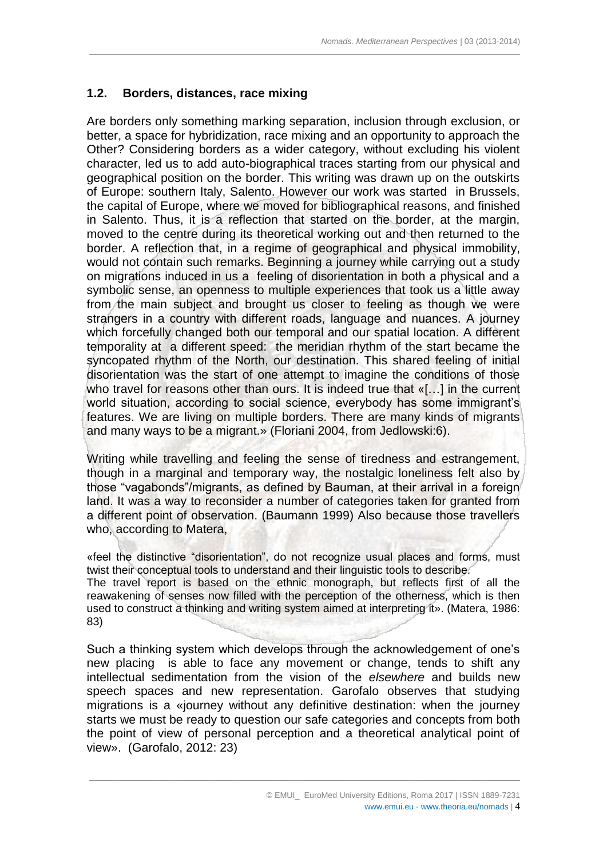# **1.2. Borders, distances, race mixing**

Are borders only something marking separation, inclusion through exclusion, or better, a space for hybridization, race mixing and an opportunity to approach the Other? Considering borders as a wider category, without excluding his violent character, led us to add auto-biographical traces starting from our physical and geographical position on the border. This writing was drawn up on the outskirts of Europe: southern Italy, Salento. However our work was started in Brussels, the capital of Europe, where we moved for bibliographical reasons, and finished in Salento. Thus, it is a reflection that started on the border, at the margin, moved to the centre during its theoretical working out and then returned to the border. A reflection that, in a regime of geographical and physical immobility, would not contain such remarks. Beginning a journey while carrying out a study on migrations induced in us a feeling of disorientation in both a physical and a symbolic sense, an openness to multiple experiences that took us a little away from the main subject and brought us closer to feeling as though we were strangers in a country with different roads, language and nuances. A journey which forcefully changed both our temporal and our spatial location. A different temporality at a different speed: the meridian rhythm of the start became the syncopated rhythm of the North, our destination. This shared feeling of initial disorientation was the start of one attempt to imagine the conditions of those who travel for reasons other than ours. It is indeed true that «[...] in the current world situation, according to social science, everybody has some immigrant's features. We are living on multiple borders. There are many kinds of migrants and many ways to be a migrant.» (Floriani 2004, from Jedlowski:6).

 $\_$  ,  $\_$  ,  $\_$  ,  $\_$  ,  $\_$  ,  $\_$  ,  $\_$  ,  $\_$  ,  $\_$  ,  $\_$  ,  $\_$  ,  $\_$  ,  $\_$  ,  $\_$  ,  $\_$  ,  $\_$  ,  $\_$  ,  $\_$  ,  $\_$  ,  $\_$  ,  $\_$  ,  $\_$  ,  $\_$  ,  $\_$  ,  $\_$  ,  $\_$  ,  $\_$  ,  $\_$  ,  $\_$  ,  $\_$  ,  $\_$  ,  $\_$  ,  $\_$  ,  $\_$  ,  $\_$  ,  $\_$  ,  $\_$  ,

Writing while travelling and feeling the sense of tiredness and estrangement, though in a marginal and temporary way, the nostalgic loneliness felt also by those "vagabonds"/migrants, as defined by Bauman, at their arrival in a foreign land. It was a way to reconsider a number of categories taken for granted from a different point of observation. (Baumann 1999) Also because those travellers who, according to Matera,

«feel the distinctive "disorientation", do not recognize usual places and forms, must twist their conceptual tools to understand and their linguistic tools to describe. The travel report is based on the ethnic monograph, but reflects first of all the reawakening of senses now filled with the perception of the otherness, which is then used to construct a thinking and writing system aimed at interpreting it». (Matera, 1986: 83)

Such a thinking system which develops through the acknowledgement of one's new placing is able to face any movement or change, tends to shift any intellectual sedimentation from the vision of the *elsewhere* and builds new speech spaces and new representation. Garofalo observes that studying migrations is a «journey without any definitive destination: when the journey starts we must be ready to question our safe categories and concepts from both the point of view of personal perception and a theoretical analytical point of view». (Garofalo, 2012: 23)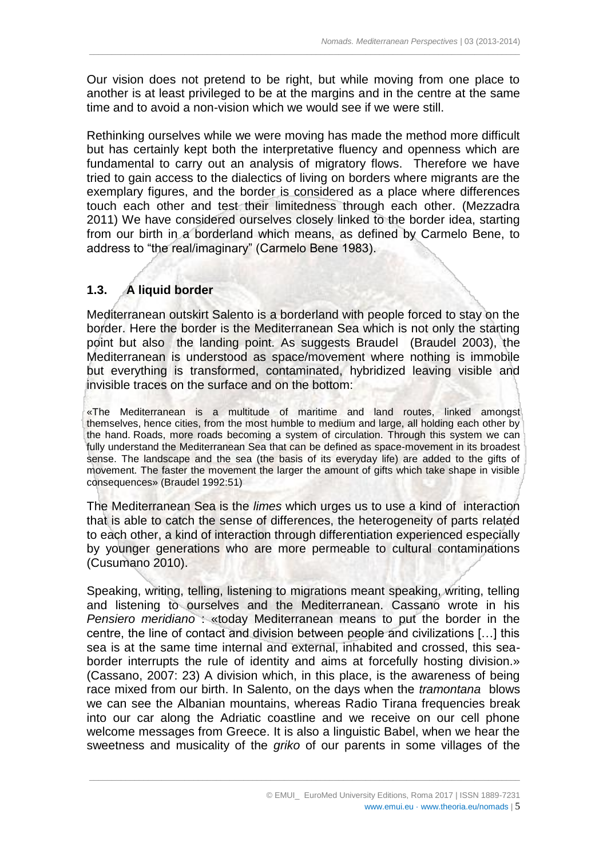Our vision does not pretend to be right, but while moving from one place to another is at least privileged to be at the margins and in the centre at the same time and to avoid a non-vision which we would see if we were still.

 $\_$  ,  $\_$  ,  $\_$  ,  $\_$  ,  $\_$  ,  $\_$  ,  $\_$  ,  $\_$  ,  $\_$  ,  $\_$  ,  $\_$  ,  $\_$  ,  $\_$  ,  $\_$  ,  $\_$  ,  $\_$  ,  $\_$  ,  $\_$  ,  $\_$  ,  $\_$  ,  $\_$  ,  $\_$  ,  $\_$  ,  $\_$  ,  $\_$  ,  $\_$  ,  $\_$  ,  $\_$  ,  $\_$  ,  $\_$  ,  $\_$  ,  $\_$  ,  $\_$  ,  $\_$  ,  $\_$  ,  $\_$  ,  $\_$  ,

Rethinking ourselves while we were moving has made the method more difficult but has certainly kept both the interpretative fluency and openness which are fundamental to carry out an analysis of migratory flows. Therefore we have tried to gain access to the dialectics of living on borders where migrants are the exemplary figures, and the border is considered as a place where differences touch each other and test their limitedness through each other. (Mezzadra 2011) We have considered ourselves closely linked to the border idea, starting from our birth in a borderland which means, as defined by Carmelo Bene, to address to "the real/imaginary" (Carmelo Bene 1983).

## **1.3. A liquid border**

Mediterranean outskirt Salento is a borderland with people forced to stay on the border. Here the border is the Mediterranean Sea which is not only the starting point but also the landing point. As suggests Braudel (Braudel 2003), the Mediterranean is understood as space/movement where nothing is immobile but everything is transformed, contaminated, hybridized leaving visible and invisible traces on the surface and on the bottom:

«The Mediterranean is a multitude of maritime and land routes, linked amongst themselves, hence cities, from the most humble to medium and large, all holding each other by the hand. Roads, more roads becoming a system of circulation. Through this system we can fully understand the Mediterranean Sea that can be defined as space-movement in its broadest sense. The landscape and the sea (the basis of its everyday life) are added to the gifts of movement. The faster the movement the larger the amount of gifts which take shape in visible consequences» (Braudel 1992:51)

The Mediterranean Sea is the *limes* which urges us to use a kind of interaction that is able to catch the sense of differences, the heterogeneity of parts related to each other, a kind of interaction through differentiation experienced especially by younger generations who are more permeable to cultural contaminations (Cusumano 2010).

Speaking, writing, telling, listening to migrations meant speaking, writing, telling and listening to ourselves and the Mediterranean. Cassano wrote in his *Pensiero meridiano* : «today Mediterranean means to put the border in the centre, the line of contact and division between people and civilizations […] this sea is at the same time internal and external, inhabited and crossed, this seaborder interrupts the rule of identity and aims at forcefully hosting division.» (Cassano, 2007: 23) A division which, in this place, is the awareness of being race mixed from our birth. In Salento, on the days when the *tramontana* blows we can see the Albanian mountains, whereas Radio Tirana frequencies break into our car along the Adriatic coastline and we receive on our cell phone welcome messages from Greece. It is also a linguistic Babel, when we hear the sweetness and musicality of the *griko* of our parents in some villages of the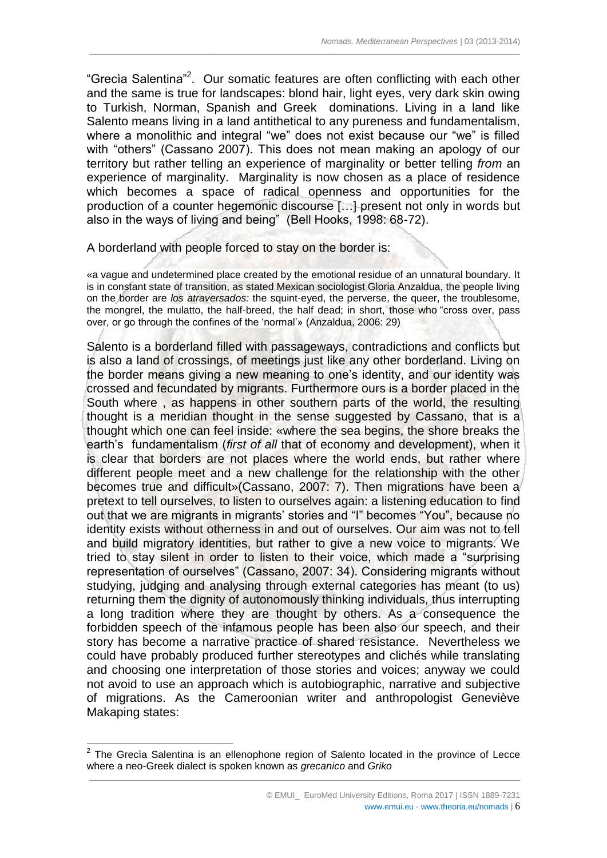"Grecìa Salentina"<sup>2</sup>. Our somatic features are often conflicting with each other and the same is true for landscapes: blond hair, light eyes, very dark skin owing to Turkish, Norman, Spanish and Greek dominations. Living in a land like Salento means living in a land antithetical to any pureness and fundamentalism, where a monolithic and integral "we" does not exist because our "we" is filled with "others" (Cassano 2007). This does not mean making an apology of our territory but rather telling an experience of marginality or better telling *from* an experience of marginality. Marginality is now chosen as a place of residence which becomes a space of radical openness and opportunities for the production of a counter hegemonic discourse […] present not only in words but also in the ways of living and being" (Bell Hooks, 1998: 68-72).

 $\_$  ,  $\_$  ,  $\_$  ,  $\_$  ,  $\_$  ,  $\_$  ,  $\_$  ,  $\_$  ,  $\_$  ,  $\_$  ,  $\_$  ,  $\_$  ,  $\_$  ,  $\_$  ,  $\_$  ,  $\_$  ,  $\_$  ,  $\_$  ,  $\_$  ,  $\_$  ,  $\_$  ,  $\_$  ,  $\_$  ,  $\_$  ,  $\_$  ,  $\_$  ,  $\_$  ,  $\_$  ,  $\_$  ,  $\_$  ,  $\_$  ,  $\_$  ,  $\_$  ,  $\_$  ,  $\_$  ,  $\_$  ,  $\_$  ,

#### A borderland with people forced to stay on the border is:

«a vague and undetermined place created by the emotional residue of an unnatural boundary. It is in constant state of transition, as stated Mexican sociologist Gloria Anzaldua, the people living on the border are *los atraversados:* the squint-eyed, the perverse, the queer, the troublesome, the mongrel, the mulatto, the half-breed, the half dead; in short, those who "cross over, pass over, or go through the confines of the 'normal'» (Anzaldua, 2006: 29)

Salento is a borderland filled with passageways, contradictions and conflicts but is also a land of crossings, of meetings just like any other borderland. Living on the border means giving a new meaning to one's identity, and our identity was crossed and fecundated by migrants. Furthermore ours is a border placed in the South where , as happens in other southern parts of the world, the resulting thought is a meridian thought in the sense suggested by Cassano, that is a thought which one can feel inside: «where the sea begins, the shore breaks the earth's fundamentalism (*first of all* that of economy and development), when it is clear that borders are not places where the world ends, but rather where different people meet and a new challenge for the relationship with the other becomes true and difficult»(Cassano, 2007: 7). Then migrations have been a pretext to tell ourselves, to listen to ourselves again: a listening education to find out that we are migrants in migrants' stories and "I" becomes "You", because no identity exists without otherness in and out of ourselves. Our aim was not to tell and build migratory identities, but rather to give a new voice to migrants. We tried to stay silent in order to listen to their voice, which made a "surprising representation of ourselves" (Cassano, 2007: 34). Considering migrants without studying, judging and analysing through external categories has meant (to us) returning them the dignity of autonomously thinking individuals, thus interrupting a long tradition where they are thought by others. As a consequence the forbidden speech of the infamous people has been also our speech, and their story has become a narrative practice of shared resistance. Nevertheless we could have probably produced further stereotypes and clichés while translating and choosing one interpretation of those stories and voices; anyway we could not avoid to use an approach which is autobiographic, narrative and subjective of migrations. As the Cameroonian writer and anthropologist Geneviève Makaping states:

-

 $\_$  , and the state of the state of the state of the state of the state of the state of the state of the state of the state of the state of the state of the state of the state of the state of the state of the state of the  $2$  The Grecia Salentina is an ellenophone region of Salento located in the province of Lecce where a neo-Greek dialect is spoken known as *grecanico* and *Griko*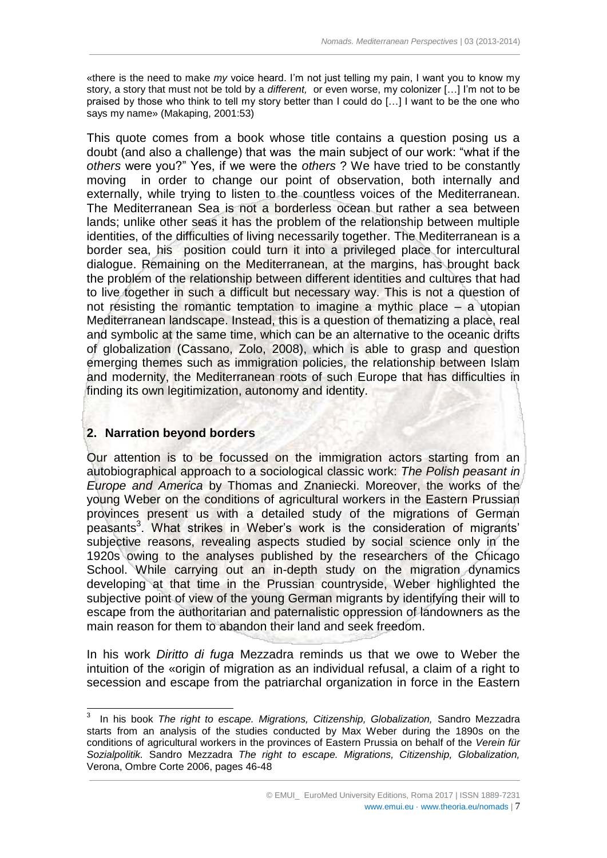«there is the need to make *my* voice heard. I'm not just telling my pain, I want you to know my story, a story that must not be told by a *different,* or even worse, my colonizer […] I'm not to be praised by those who think to tell my story better than I could do […] I want to be the one who says my name» (Makaping, 2001:53)

 $\_$  ,  $\_$  ,  $\_$  ,  $\_$  ,  $\_$  ,  $\_$  ,  $\_$  ,  $\_$  ,  $\_$  ,  $\_$  ,  $\_$  ,  $\_$  ,  $\_$  ,  $\_$  ,  $\_$  ,  $\_$  ,  $\_$  ,  $\_$  ,  $\_$  ,  $\_$  ,  $\_$  ,  $\_$  ,  $\_$  ,  $\_$  ,  $\_$  ,  $\_$  ,  $\_$  ,  $\_$  ,  $\_$  ,  $\_$  ,  $\_$  ,  $\_$  ,  $\_$  ,  $\_$  ,  $\_$  ,  $\_$  ,  $\_$  ,

This quote comes from a book whose title contains a question posing us a doubt (and also a challenge) that was the main subject of our work: "what if the *others* were you?" Yes, if we were the *others* ? We have tried to be constantly moving in order to change our point of observation, both internally and externally, while trying to listen to the countless voices of the Mediterranean. The Mediterranean Sea is not a borderless ocean but rather a sea between lands; unlike other seas it has the problem of the relationship between multiple identities, of the difficulties of living necessarily together. The Mediterranean is a border sea, his position could turn it into a privileged place for intercultural dialogue. Remaining on the Mediterranean, at the margins, has brought back the problem of the relationship between different identities and cultures that had to live together in such a difficult but necessary way. This is not a question of not resisting the romantic temptation to imagine a mythic place – a utopian Mediterranean landscape. Instead, this is a question of thematizing a place, real and symbolic at the same time, which can be an alternative to the oceanic drifts of globalization (Cassano, Zolo, 2008), which is able to grasp and question emerging themes such as immigration policies, the relationship between Islam and modernity, the Mediterranean roots of such Europe that has difficulties in finding its own legitimization, autonomy and identity.

# **2. Narration beyond borders**

Our attention is to be focussed on the immigration actors starting from an autobiographical approach to a sociological classic work: *The Polish peasant in Europe and America* by Thomas and Znaniecki. Moreover, the works of the young Weber on the conditions of agricultural workers in the Eastern Prussian provinces present us with a detailed study of the migrations of German peasants<sup>3</sup>. What strikes in Weber's work is the consideration of migrants' subjective reasons, revealing aspects studied by social science only in the 1920s owing to the analyses published by the researchers of the Chicago School. While carrying out an in-depth study on the migration dynamics developing at that time in the Prussian countryside, Weber highlighted the subjective point of view of the young German migrants by identifying their will to escape from the authoritarian and paternalistic oppression of landowners as the main reason for them to abandon their land and seek freedom.

In his work *Diritto di fuga* Mezzadra reminds us that we owe to Weber the intuition of the «origin of migration as an individual refusal, a claim of a right to secession and escape from the patriarchal organization in force in the Eastern

 $\_$  , and the state of the state of the state of the state of the state of the state of the state of the state of the state of the state of the state of the state of the state of the state of the state of the state of the  $\frac{1}{3}$  In his book *The right to escape. Migrations, Citizenship, Globalization,* Sandro Mezzadra starts from an analysis of the studies conducted by Max Weber during the 1890s on the conditions of agricultural workers in the provinces of Eastern Prussia on behalf of the *Verein für Sozialpolitik.* Sandro Mezzadra *The right to escape. Migrations, Citizenship, Globalization,* Verona, Ombre Corte 2006, pages 46-48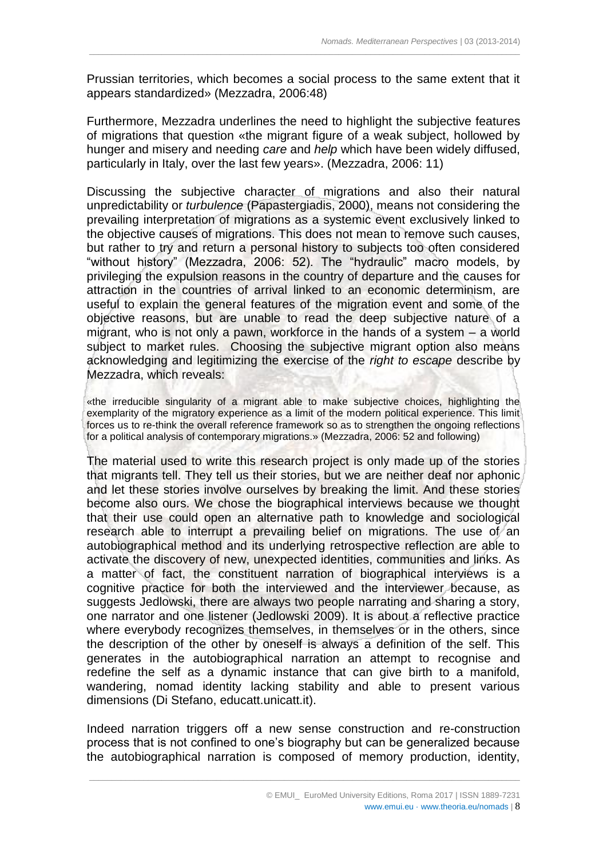Prussian territories, which becomes a social process to the same extent that it appears standardized» (Mezzadra, 2006:48)

 $\_$  ,  $\_$  ,  $\_$  ,  $\_$  ,  $\_$  ,  $\_$  ,  $\_$  ,  $\_$  ,  $\_$  ,  $\_$  ,  $\_$  ,  $\_$  ,  $\_$  ,  $\_$  ,  $\_$  ,  $\_$  ,  $\_$  ,  $\_$  ,  $\_$  ,  $\_$  ,  $\_$  ,  $\_$  ,  $\_$  ,  $\_$  ,  $\_$  ,  $\_$  ,  $\_$  ,  $\_$  ,  $\_$  ,  $\_$  ,  $\_$  ,  $\_$  ,  $\_$  ,  $\_$  ,  $\_$  ,  $\_$  ,  $\_$  ,

Furthermore, Mezzadra underlines the need to highlight the subjective features of migrations that question «the migrant figure of a weak subject, hollowed by hunger and misery and needing *care* and *help* which have been widely diffused, particularly in Italy, over the last few years». (Mezzadra, 2006: 11)

Discussing the subjective character of migrations and also their natural unpredictability or *turbulence* (Papastergiadis, 2000), means not considering the prevailing interpretation of migrations as a systemic event exclusively linked to the objective causes of migrations. This does not mean to remove such causes, but rather to try and return a personal history to subjects too often considered "without history" (Mezzadra, 2006: 52). The "hydraulic" macro models, by privileging the expulsion reasons in the country of departure and the causes for attraction in the countries of arrival linked to an economic determinism, are useful to explain the general features of the migration event and some of the objective reasons, but are unable to read the deep subjective nature of a migrant, who is not only a pawn, workforce in the hands of a system – a world subject to market rules. Choosing the subjective migrant option also means acknowledging and legitimizing the exercise of the *right to escape* describe by Mezzadra, which reveals:

«the irreducible singularity of a migrant able to make subjective choices, highlighting the exemplarity of the migratory experience as a limit of the modern political experience. This limit forces us to re-think the overall reference framework so as to strengthen the ongoing reflections for a political analysis of contemporary migrations.» (Mezzadra, 2006: 52 and following)

The material used to write this research project is only made up of the stories that migrants tell. They tell us their stories, but we are neither deaf nor aphonic and let these stories involve ourselves by breaking the limit. And these stories become also ours. We chose the biographical interviews because we thought that their use could open an alternative path to knowledge and sociological research able to interrupt a prevailing belief on migrations. The use of an autobiographical method and its underlying retrospective reflection are able to activate the discovery of new, unexpected identities, communities and links. As a matter of fact, the constituent narration of biographical interviews is a cognitive practice for both the interviewed and the interviewer because, as suggests Jedlowski, there are always two people narrating and sharing a story, one narrator and one listener (Jedlowski 2009). It is about a reflective practice where everybody recognizes themselves, in themselves or in the others, since the description of the other by oneself is always a definition of the self. This generates in the autobiographical narration an attempt to recognise and redefine the self as a dynamic instance that can give birth to a manifold, wandering, nomad identity lacking stability and able to present various dimensions (Di Stefano, educatt.unicatt.it).

Indeed narration triggers off a new sense construction and re-construction process that is not confined to one's biography but can be generalized because the autobiographical narration is composed of memory production, identity,

© EMUI\_ EuroMed University Editions, Roma 2017 | ISSN 1889-7231 www.emui.eu · www.theoria.eu/nomads | 8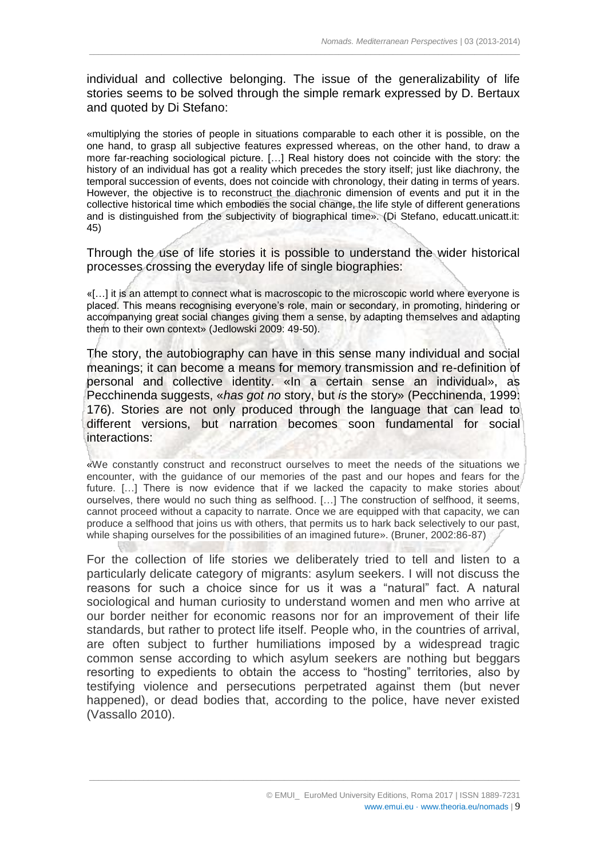individual and collective belonging. The issue of the generalizability of life stories seems to be solved through the simple remark expressed by D. Bertaux and quoted by Di Stefano:

 $\_$  ,  $\_$  ,  $\_$  ,  $\_$  ,  $\_$  ,  $\_$  ,  $\_$  ,  $\_$  ,  $\_$  ,  $\_$  ,  $\_$  ,  $\_$  ,  $\_$  ,  $\_$  ,  $\_$  ,  $\_$  ,  $\_$  ,  $\_$  ,  $\_$  ,  $\_$  ,  $\_$  ,  $\_$  ,  $\_$  ,  $\_$  ,  $\_$  ,  $\_$  ,  $\_$  ,  $\_$  ,  $\_$  ,  $\_$  ,  $\_$  ,  $\_$  ,  $\_$  ,  $\_$  ,  $\_$  ,  $\_$  ,  $\_$  ,

«multiplying the stories of people in situations comparable to each other it is possible, on the one hand, to grasp all subjective features expressed whereas, on the other hand, to draw a more far-reaching sociological picture. […] Real history does not coincide with the story: the history of an individual has got a reality which precedes the story itself; just like diachrony, the temporal succession of events, does not coincide with chronology, their dating in terms of years. However, the objective is to reconstruct the diachronic dimension of events and put it in the collective historical time which embodies the social change, the life style of different generations and is distinguished from the subjectivity of biographical time». (Di Stefano, educatt.unicatt.it: 45)

Through the use of life stories it is possible to understand the wider historical processes crossing the everyday life of single biographies:

«[…] it is an attempt to connect what is macroscopic to the microscopic world where everyone is placed. This means recognising everyone's role, main or secondary, in promoting, hindering or accompanying great social changes giving them a sense, by adapting themselves and adapting them to their own context» (Jedlowski 2009: 49-50).

The story, the autobiography can have in this sense many individual and social meanings; it can become a means for memory transmission and re-definition of personal and collective identity. «In a certain sense an individual», as Pecchinenda suggests, «*has got no* story, but *is* the story» (Pecchinenda, 1999: 176). Stories are not only produced through the language that can lead to different versions, but narration becomes soon fundamental for social interactions:

«We constantly construct and reconstruct ourselves to meet the needs of the situations we encounter, with the guidance of our memories of the past and our hopes and fears for the future. [...] There is now evidence that if we lacked the capacity to make stories about ourselves, there would no such thing as selfhood. […] The construction of selfhood, it seems, cannot proceed without a capacity to narrate. Once we are equipped with that capacity, we can produce a selfhood that joins us with others, that permits us to hark back selectively to our past, while shaping ourselves for the possibilities of an imagined future». (Bruner, 2002:86-87)

For the collection of life stories we deliberately tried to tell and listen to a particularly delicate category of migrants: asylum seekers. I will not discuss the reasons for such a choice since for us it was a "natural" fact. A natural sociological and human curiosity to understand women and men who arrive at our border neither for economic reasons nor for an improvement of their life standards, but rather to protect life itself. People who, in the countries of arrival, are often subject to further humiliations imposed by a widespread tragic common sense according to which asylum seekers are nothing but beggars resorting to expedients to obtain the access to "hosting" territories, also by testifying violence and persecutions perpetrated against them (but never happened), or dead bodies that, according to the police, have never existed (Vassallo 2010).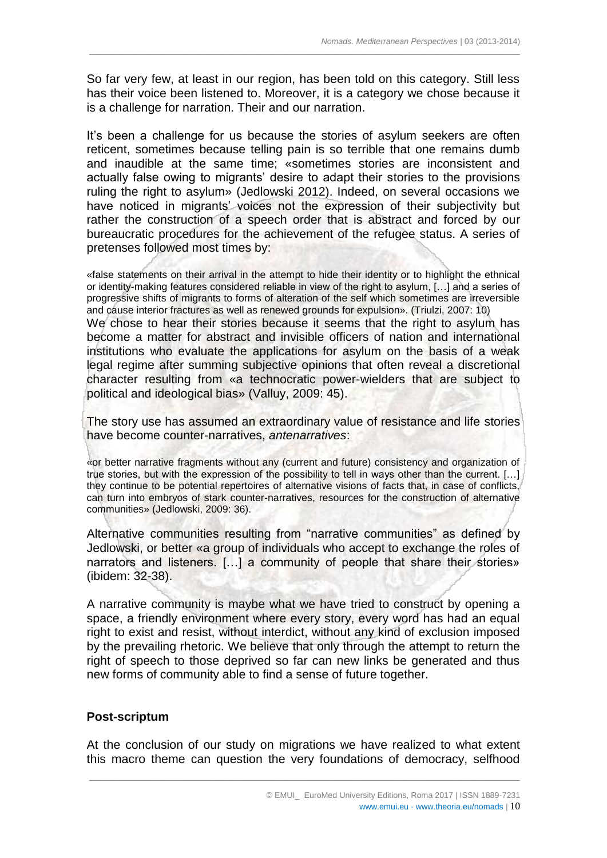So far very few, at least in our region, has been told on this category. Still less has their voice been listened to. Moreover, it is a category we chose because it is a challenge for narration. Their and our narration.

 $\_$  ,  $\_$  ,  $\_$  ,  $\_$  ,  $\_$  ,  $\_$  ,  $\_$  ,  $\_$  ,  $\_$  ,  $\_$  ,  $\_$  ,  $\_$  ,  $\_$  ,  $\_$  ,  $\_$  ,  $\_$  ,  $\_$  ,  $\_$  ,  $\_$  ,  $\_$  ,  $\_$  ,  $\_$  ,  $\_$  ,  $\_$  ,  $\_$  ,  $\_$  ,  $\_$  ,  $\_$  ,  $\_$  ,  $\_$  ,  $\_$  ,  $\_$  ,  $\_$  ,  $\_$  ,  $\_$  ,  $\_$  ,  $\_$  ,

It's been a challenge for us because the stories of asylum seekers are often reticent, sometimes because telling pain is so terrible that one remains dumb and inaudible at the same time; «sometimes stories are inconsistent and actually false owing to migrants' desire to adapt their stories to the provisions ruling the right to asylum» (Jedlowski 2012). Indeed, on several occasions we have noticed in migrants' voices not the expression of their subjectivity but rather the construction of a speech order that is abstract and forced by our bureaucratic procedures for the achievement of the refugee status. A series of pretenses followed most times by:

«false statements on their arrival in the attempt to hide their identity or to highlight the ethnical or identity-making features considered reliable in view of the right to asylum, […] and a series of progressive shifts of migrants to forms of alteration of the self which sometimes are irreversible and cause interior fractures as well as renewed grounds for expulsion». (Triulzi, 2007: 10) We chose to hear their stories because it seems that the right to asylum has become a matter for abstract and invisible officers of nation and international institutions who evaluate the applications for asylum on the basis of a weak legal regime after summing subjective opinions that often reveal a discretional character resulting from «a technocratic power-wielders that are subject to political and ideological bias» (Valluy, 2009: 45).

The story use has assumed an extraordinary value of resistance and life stories have become counter-narratives, *antenarratives*:

«or better narrative fragments without any (current and future) consistency and organization of true stories, but with the expression of the possibility to tell in ways other than the current. […] they continue to be potential repertoires of alternative visions of facts that, in case of conflicts, can turn into embryos of stark counter-narratives, resources for the construction of alternative communities» (Jedlowski, 2009: 36).

Alternative communities resulting from "narrative communities" as defined by Jedlowski, or better «a group of individuals who accept to exchange the roles of narrators and listeners. […] a community of people that share their stories» (ibidem: 32-38).

A narrative community is maybe what we have tried to construct by opening a space, a friendly environment where every story, every word has had an equal right to exist and resist, without interdict, without any kind of exclusion imposed by the prevailing rhetoric. We believe that only through the attempt to return the right of speech to those deprived so far can new links be generated and thus new forms of community able to find a sense of future together.

## **Post-scriptum**

At the conclusion of our study on migrations we have realized to what extent this macro theme can question the very foundations of democracy, selfhood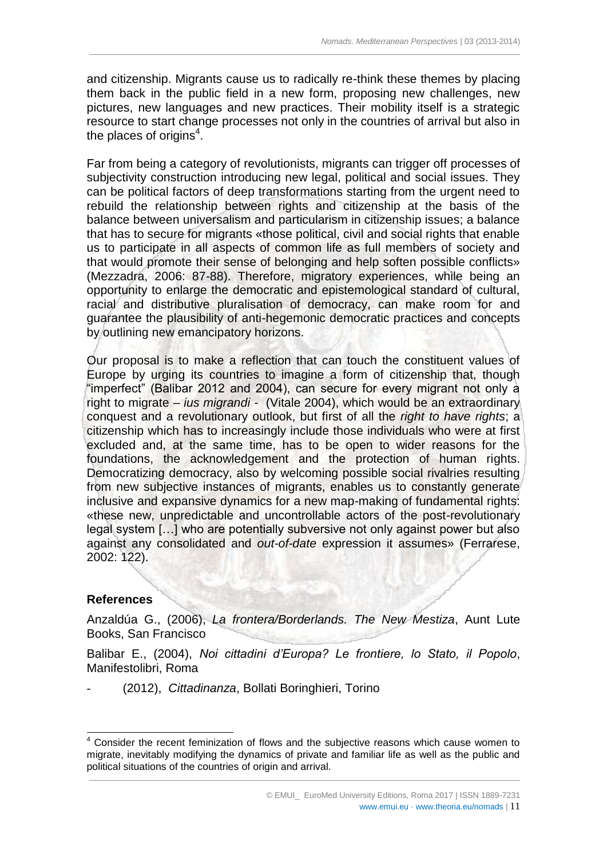and citizenship. Migrants cause us to radically re-think these themes by placing them back in the public field in a new form, proposing new challenges, new pictures, new languages and new practices. Their mobility itself is a strategic resource to start change processes not only in the countries of arrival but also in the places of origins<sup>4</sup>.

 $\_$  ,  $\_$  ,  $\_$  ,  $\_$  ,  $\_$  ,  $\_$  ,  $\_$  ,  $\_$  ,  $\_$  ,  $\_$  ,  $\_$  ,  $\_$  ,  $\_$  ,  $\_$  ,  $\_$  ,  $\_$  ,  $\_$  ,  $\_$  ,  $\_$  ,  $\_$  ,  $\_$  ,  $\_$  ,  $\_$  ,  $\_$  ,  $\_$  ,  $\_$  ,  $\_$  ,  $\_$  ,  $\_$  ,  $\_$  ,  $\_$  ,  $\_$  ,  $\_$  ,  $\_$  ,  $\_$  ,  $\_$  ,  $\_$  ,

Far from being a category of revolutionists, migrants can trigger off processes of subjectivity construction introducing new legal, political and social issues. They can be political factors of deep transformations starting from the urgent need to rebuild the relationship between rights and citizenship at the basis of the balance between universalism and particularism in citizenship issues; a balance that has to secure for migrants «those political, civil and social rights that enable us to participate in all aspects of common life as full members of society and that would promote their sense of belonging and help soften possible conflicts» (Mezzadra, 2006: 87-88). Therefore, migratory experiences, while being an opportunity to enlarge the democratic and epistemological standard of cultural, racial and distributive pluralisation of democracy, can make room for and guarantee the plausibility of anti-hegemonic democratic practices and concepts by outlining new emancipatory horizons.

Our proposal is to make a reflection that can touch the constituent values of Europe by urging its countries to imagine a form of citizenship that, though "imperfect" (Balibar 2012 and 2004), can secure for every migrant not only a right to migrate – *ius migrandi* - (Vitale 2004), which would be an extraordinary conquest and a revolutionary outlook, but first of all the *right to have rights*; a citizenship which has to increasingly include those individuals who were at first excluded and, at the same time, has to be open to wider reasons for the foundations, the acknowledgement and the protection of human rights. Democratizing democracy, also by welcoming possible social rivalries resulting from new subjective instances of migrants, enables us to constantly generate inclusive and expansive dynamics for a new map-making of fundamental rights: «these new, unpredictable and uncontrollable actors of the post-revolutionary legal system […] who are potentially subversive not only against power but also against any consolidated and *out-of-date* expression it assumes» (Ferrarese, 2002: 122).

#### **References**

 $\overline{a}$ 

Anzaldúa G., (2006), *La frontera/Borderlands. The New Mestiza*, Aunt Lute Books, San Francisco

Balibar E., (2004), *Noi cittadini d'Europa? Le frontiere, lo Stato, il Popolo*, Manifestolibri, Roma

- (2012), *Cittadinanza*, Bollati Boringhieri, Torino

<sup>&</sup>lt;sup>4</sup> Consider the recent feminization of flows and the subjective reasons which cause women to migrate, inevitably modifying the dynamics of private and familiar life as well as the public and political situations of the countries of origin and arrival.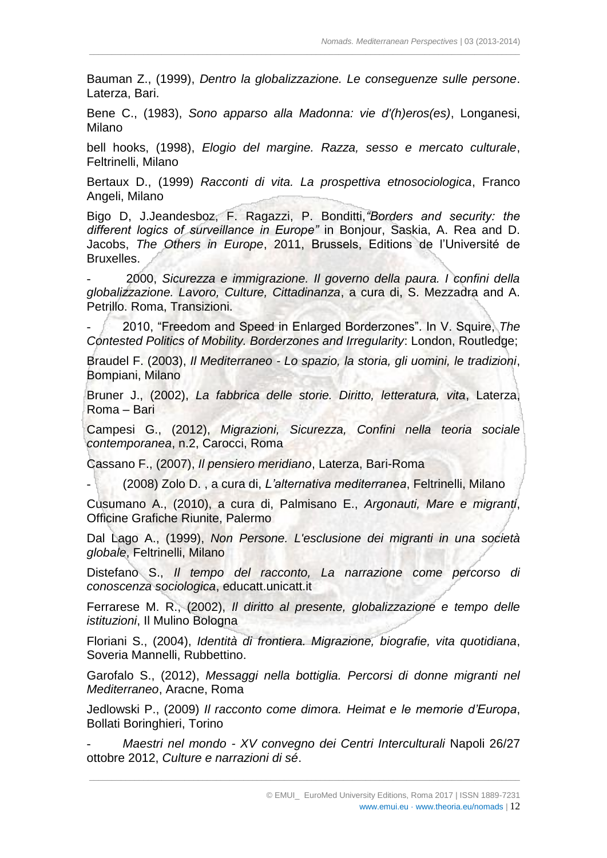Bauman Z., (1999), *Dentro la globalizzazione. Le conseguenze sulle persone*. Laterza, Bari.

 $\_$  ,  $\_$  ,  $\_$  ,  $\_$  ,  $\_$  ,  $\_$  ,  $\_$  ,  $\_$  ,  $\_$  ,  $\_$  ,  $\_$  ,  $\_$  ,  $\_$  ,  $\_$  ,  $\_$  ,  $\_$  ,  $\_$  ,  $\_$  ,  $\_$  ,  $\_$  ,  $\_$  ,  $\_$  ,  $\_$  ,  $\_$  ,  $\_$  ,  $\_$  ,  $\_$  ,  $\_$  ,  $\_$  ,  $\_$  ,  $\_$  ,  $\_$  ,  $\_$  ,  $\_$  ,  $\_$  ,  $\_$  ,  $\_$  ,

Bene C., (1983), *Sono apparso alla Madonna: vie d'(h)eros(es)*, Longanesi, Milano

bell hooks, (1998), *Elogio del margine. Razza, sesso e mercato culturale*, Feltrinelli, Milano

Bertaux D., (1999) *Racconti di vita. La prospettiva etnosociologica*, Franco Angeli, Milano

Bigo D, J.Jeandesboz, F. Ragazzi, P. Bonditti,*"Borders and security: the different logics of surveillance in Europe"* in Bonjour, Saskia, A. Rea and D. Jacobs, *The Others in Europe*, 2011, Brussels, Editions de l'Université de Bruxelles.

- 2000, *Sicurezza e immigrazione. Il governo della paura. I confini della globalizzazione. Lavoro, Culture, Cittadinanza*, a cura di, S. Mezzadra and A. Petrillo. Roma, Transizioni.

- 2010, "Freedom and Speed in Enlarged Borderzones". In V. Squire, *The Contested Politics of Mobility. Borderzones and Irregularity*: London, Routledge;

Braudel F. (2003), *Il Mediterraneo - Lo spazio, la storia, gli uomini, le tradizioni*, Bompiani, Milano

Bruner J., (2002), *La fabbrica delle storie. Diritto, letteratura, vita*, Laterza, Roma – Bari

Campesi G., (2012), *Migrazioni, Sicurezza, Confini nella teoria sociale contemporanea*, n.2, Carocci, Roma

Cassano F., (2007), *Il pensiero meridiano*, Laterza, Bari-Roma

- (2008) Zolo D. , a cura di, *L'alternativa mediterranea*, Feltrinelli, Milano

Cusumano A., (2010), a cura di, Palmisano E., *Argonauti, Mare e migranti*, Officine Grafiche Riunite, Palermo

Dal Lago A., (1999), *Non Persone. L'esclusione dei migranti in una società globale*, Feltrinelli, Milano

Distefano S., *Il tempo del racconto, La narrazione come percorso di conoscenza sociologica*, educatt.unicatt.it

Ferrarese M. R., (2002), *Il diritto al presente, globalizzazione e tempo delle istituzioni*, Il Mulino Bologna

Floriani S., (2004), *Identità di frontiera. Migrazione, biografie, vita quotidiana*, Soveria Mannelli, Rubbettino.

Garofalo S., (2012), *Messaggi nella bottiglia. Percorsi di donne migranti nel Mediterraneo*, Aracne, Roma

Jedlowski P., (2009) *Il racconto come dimora. Heimat e le memorie d'Europa*, Bollati Boringhieri, Torino

- *Maestri nel mondo - XV convegno dei Centri Interculturali* Napoli 26/27 ottobre 2012, *Culture e narrazioni di sé*.